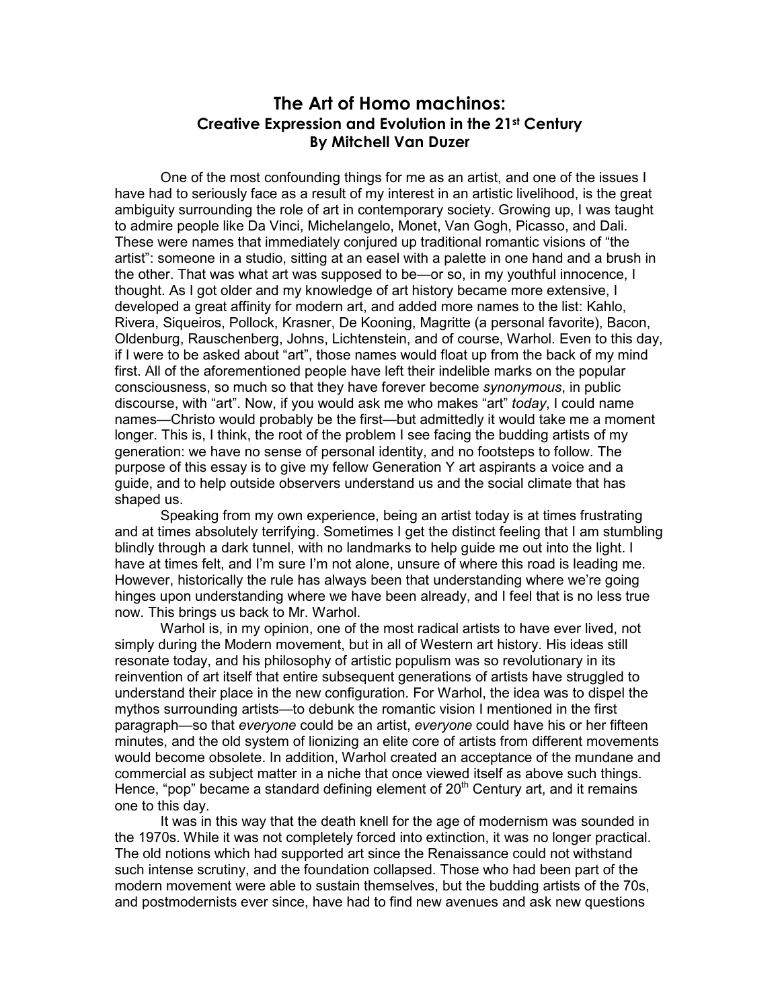## **The Art of Homo machinos: Creative Expression and Evolution in the 21st Century By Mitchell Van Duzer**

One of the most confounding things for me as an artist, and one of the issues I have had to seriously face as a result of my interest in an artistic livelihood, is the great ambiguity surrounding the role of art in contemporary society. Growing up, I was taught to admire people like Da Vinci, Michelangelo, Monet, Van Gogh, Picasso, and Dali. These were names that immediately conjured up traditional romantic visions of "the artist": someone in a studio, sitting at an easel with a palette in one hand and a brush in the other. That was what art was supposed to be—or so, in my youthful innocence, I thought. As I got older and my knowledge of art history became more extensive, I developed a great affinity for modern art, and added more names to the list: Kahlo, Rivera, Siqueiros, Pollock, Krasner, De Kooning, Magritte (a personal favorite), Bacon, Oldenburg, Rauschenberg, Johns, Lichtenstein, and of course, Warhol. Even to this day, if I were to be asked about "art", those names would float up from the back of my mind first. All of the aforementioned people have left their indelible marks on the popular consciousness, so much so that they have forever become *synonymous*, in public discourse, with "art". Now, if you would ask me who makes "art" *today*, I could name names—Christo would probably be the first—but admittedly it would take me a moment longer. This is, I think, the root of the problem I see facing the budding artists of my generation: we have no sense of personal identity, and no footsteps to follow. The purpose of this essay is to give my fellow Generation Y art aspirants a voice and a guide, and to help outside observers understand us and the social climate that has shaped us.

 Speaking from my own experience, being an artist today is at times frustrating and at times absolutely terrifying. Sometimes I get the distinct feeling that I am stumbling blindly through a dark tunnel, with no landmarks to help guide me out into the light. I have at times felt, and I'm sure I'm not alone, unsure of where this road is leading me. However, historically the rule has always been that understanding where we're going hinges upon understanding where we have been already, and I feel that is no less true now. This brings us back to Mr. Warhol.

 Warhol is, in my opinion, one of the most radical artists to have ever lived, not simply during the Modern movement, but in all of Western art history. His ideas still resonate today, and his philosophy of artistic populism was so revolutionary in its reinvention of art itself that entire subsequent generations of artists have struggled to understand their place in the new configuration. For Warhol, the idea was to dispel the mythos surrounding artists—to debunk the romantic vision I mentioned in the first paragraph—so that *everyone* could be an artist, *everyone* could have his or her fifteen minutes, and the old system of lionizing an elite core of artists from different movements would become obsolete. In addition, Warhol created an acceptance of the mundane and commercial as subject matter in a niche that once viewed itself as above such things. Hence, "pop" became a standard defining element of  $20<sup>th</sup>$  Century art, and it remains one to this day.

 It was in this way that the death knell for the age of modernism was sounded in the 1970s. While it was not completely forced into extinction, it was no longer practical. The old notions which had supported art since the Renaissance could not withstand such intense scrutiny, and the foundation collapsed. Those who had been part of the modern movement were able to sustain themselves, but the budding artists of the 70s, and postmodernists ever since, have had to find new avenues and ask new questions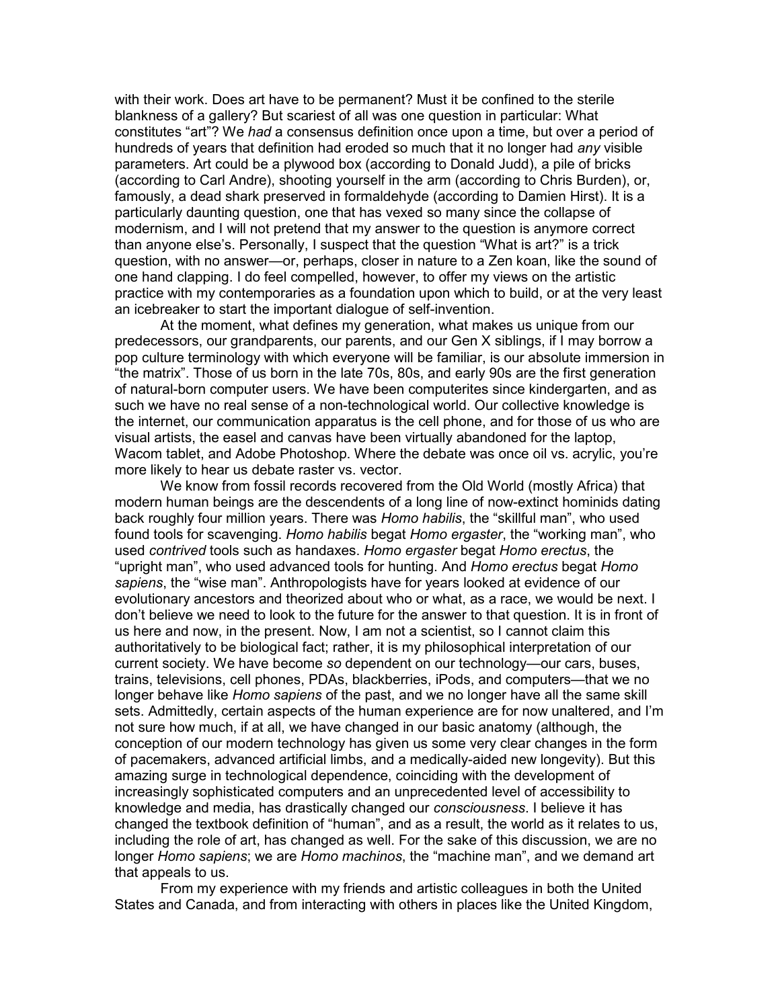with their work. Does art have to be permanent? Must it be confined to the sterile blankness of a gallery? But scariest of all was one question in particular: What constitutes "art"? We *had* a consensus definition once upon a time, but over a period of hundreds of years that definition had eroded so much that it no longer had *any* visible parameters. Art could be a plywood box (according to Donald Judd), a pile of bricks (according to Carl Andre), shooting yourself in the arm (according to Chris Burden), or, famously, a dead shark preserved in formaldehyde (according to Damien Hirst). It is a particularly daunting question, one that has vexed so many since the collapse of modernism, and I will not pretend that my answer to the question is anymore correct than anyone else's. Personally, I suspect that the question "What is art?" is a trick question, with no answer—or, perhaps, closer in nature to a Zen koan, like the sound of one hand clapping. I do feel compelled, however, to offer my views on the artistic practice with my contemporaries as a foundation upon which to build, or at the very least an icebreaker to start the important dialogue of self-invention.

 At the moment, what defines my generation, what makes us unique from our predecessors, our grandparents, our parents, and our Gen X siblings, if I may borrow a pop culture terminology with which everyone will be familiar, is our absolute immersion in "the matrix". Those of us born in the late 70s, 80s, and early 90s are the first generation of natural-born computer users. We have been computerites since kindergarten, and as such we have no real sense of a non-technological world. Our collective knowledge is the internet, our communication apparatus is the cell phone, and for those of us who are visual artists, the easel and canvas have been virtually abandoned for the laptop, Wacom tablet, and Adobe Photoshop. Where the debate was once oil vs. acrylic, you're more likely to hear us debate raster vs. vector.

 We know from fossil records recovered from the Old World (mostly Africa) that modern human beings are the descendents of a long line of now-extinct hominids dating back roughly four million years. There was *Homo habilis*, the "skillful man", who used found tools for scavenging. *Homo habilis* begat *Homo ergaster*, the "working man", who used *contrived* tools such as handaxes. *Homo ergaster* begat *Homo erectus*, the "upright man", who used advanced tools for hunting. And *Homo erectus* begat *Homo sapiens*, the "wise man". Anthropologists have for years looked at evidence of our evolutionary ancestors and theorized about who or what, as a race, we would be next. I don't believe we need to look to the future for the answer to that question. It is in front of us here and now, in the present. Now, I am not a scientist, so I cannot claim this authoritatively to be biological fact; rather, it is my philosophical interpretation of our current society. We have become *so* dependent on our technology—our cars, buses, trains, televisions, cell phones, PDAs, blackberries, iPods, and computers—that we no longer behave like *Homo sapiens* of the past, and we no longer have all the same skill sets. Admittedly, certain aspects of the human experience are for now unaltered, and I'm not sure how much, if at all, we have changed in our basic anatomy (although, the conception of our modern technology has given us some very clear changes in the form of pacemakers, advanced artificial limbs, and a medically-aided new longevity). But this amazing surge in technological dependence, coinciding with the development of increasingly sophisticated computers and an unprecedented level of accessibility to knowledge and media, has drastically changed our *consciousness*. I believe it has changed the textbook definition of "human", and as a result, the world as it relates to us, including the role of art, has changed as well. For the sake of this discussion, we are no longer *Homo sapiens*; we are *Homo machinos*, the "machine man", and we demand art that appeals to us.

 From my experience with my friends and artistic colleagues in both the United States and Canada, and from interacting with others in places like the United Kingdom,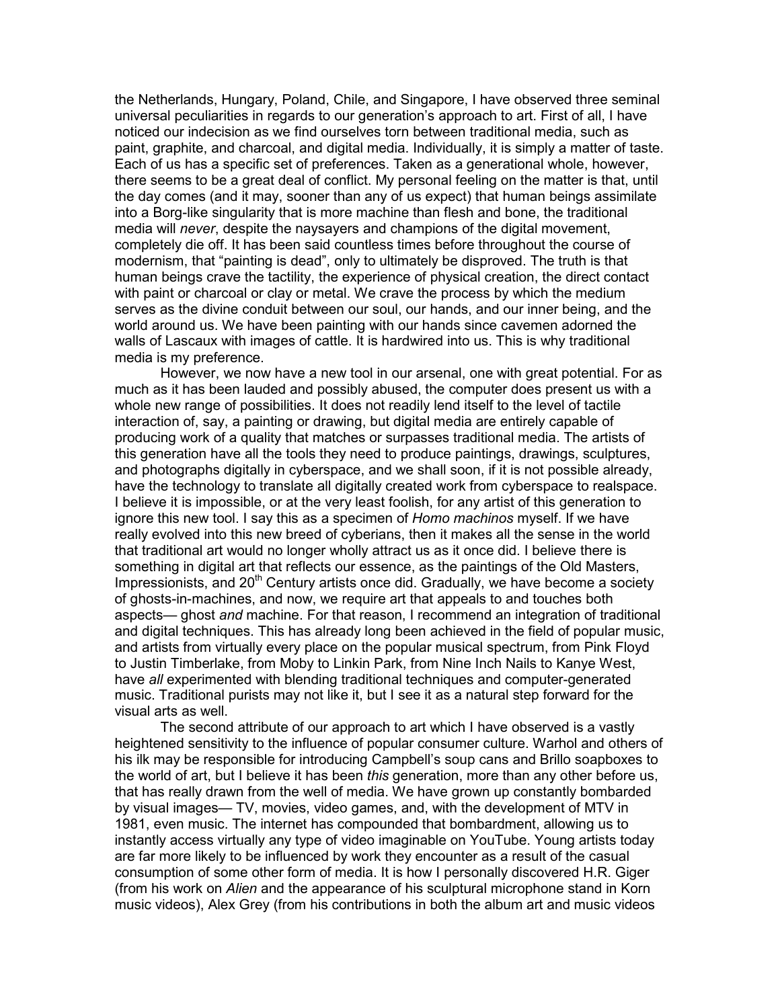the Netherlands, Hungary, Poland, Chile, and Singapore, I have observed three seminal universal peculiarities in regards to our generation's approach to art. First of all, I have noticed our indecision as we find ourselves torn between traditional media, such as paint, graphite, and charcoal, and digital media. Individually, it is simply a matter of taste. Each of us has a specific set of preferences. Taken as a generational whole, however, there seems to be a great deal of conflict. My personal feeling on the matter is that, until the day comes (and it may, sooner than any of us expect) that human beings assimilate into a Borg-like singularity that is more machine than flesh and bone, the traditional media will *never*, despite the naysayers and champions of the digital movement, completely die off. It has been said countless times before throughout the course of modernism, that "painting is dead", only to ultimately be disproved. The truth is that human beings crave the tactility, the experience of physical creation, the direct contact with paint or charcoal or clay or metal. We crave the process by which the medium serves as the divine conduit between our soul, our hands, and our inner being, and the world around us. We have been painting with our hands since cavemen adorned the walls of Lascaux with images of cattle. It is hardwired into us. This is why traditional media is my preference.

 However, we now have a new tool in our arsenal, one with great potential. For as much as it has been lauded and possibly abused, the computer does present us with a whole new range of possibilities. It does not readily lend itself to the level of tactile interaction of, say, a painting or drawing, but digital media are entirely capable of producing work of a quality that matches or surpasses traditional media. The artists of this generation have all the tools they need to produce paintings, drawings, sculptures, and photographs digitally in cyberspace, and we shall soon, if it is not possible already, have the technology to translate all digitally created work from cyberspace to realspace. I believe it is impossible, or at the very least foolish, for any artist of this generation to ignore this new tool. I say this as a specimen of *Homo machinos* myself. If we have really evolved into this new breed of cyberians, then it makes all the sense in the world that traditional art would no longer wholly attract us as it once did. I believe there is something in digital art that reflects our essence, as the paintings of the Old Masters, Impressionists, and  $20<sup>th</sup>$  Century artists once did. Gradually, we have become a society of ghosts-in-machines, and now, we require art that appeals to and touches both aspects— ghost *and* machine. For that reason, I recommend an integration of traditional and digital techniques. This has already long been achieved in the field of popular music, and artists from virtually every place on the popular musical spectrum, from Pink Floyd to Justin Timberlake, from Moby to Linkin Park, from Nine Inch Nails to Kanye West, have *all* experimented with blending traditional techniques and computer-generated music. Traditional purists may not like it, but I see it as a natural step forward for the visual arts as well.

 The second attribute of our approach to art which I have observed is a vastly heightened sensitivity to the influence of popular consumer culture. Warhol and others of his ilk may be responsible for introducing Campbell's soup cans and Brillo soapboxes to the world of art, but I believe it has been *this* generation, more than any other before us, that has really drawn from the well of media. We have grown up constantly bombarded by visual images— TV, movies, video games, and, with the development of MTV in 1981, even music. The internet has compounded that bombardment, allowing us to instantly access virtually any type of video imaginable on YouTube. Young artists today are far more likely to be influenced by work they encounter as a result of the casual consumption of some other form of media. It is how I personally discovered H.R. Giger (from his work on *Alien* and the appearance of his sculptural microphone stand in Korn music videos), Alex Grey (from his contributions in both the album art and music videos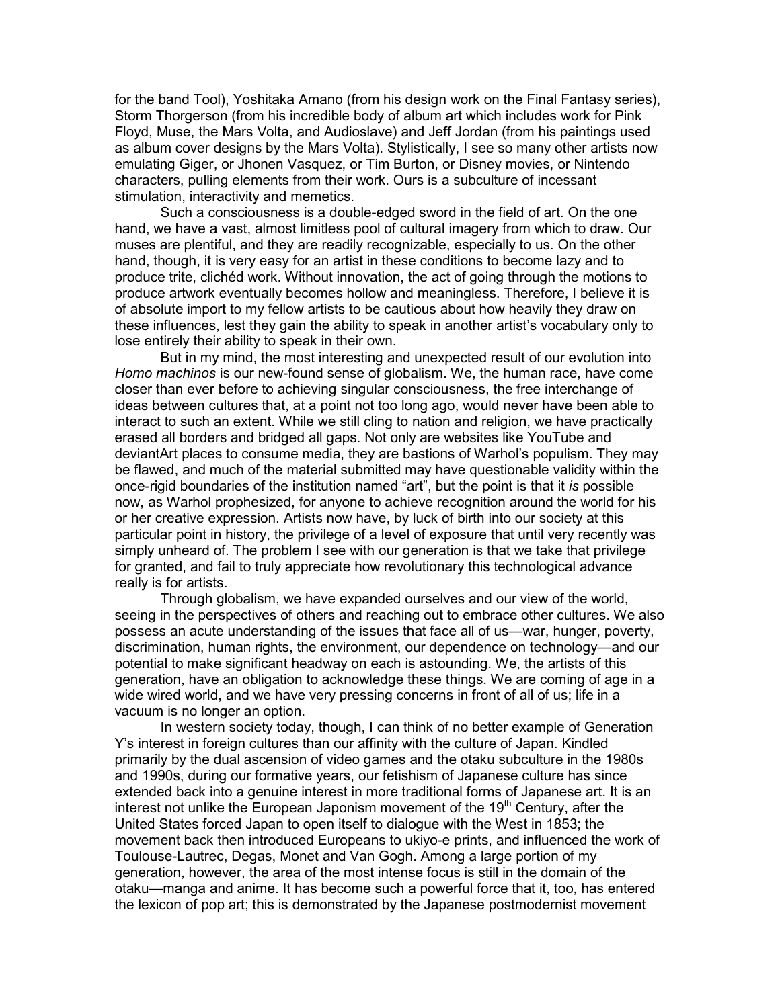for the band Tool), Yoshitaka Amano (from his design work on the Final Fantasy series), Storm Thorgerson (from his incredible body of album art which includes work for Pink Floyd, Muse, the Mars Volta, and Audioslave) and Jeff Jordan (from his paintings used as album cover designs by the Mars Volta). Stylistically, I see so many other artists now emulating Giger, or Jhonen Vasquez, or Tim Burton, or Disney movies, or Nintendo characters, pulling elements from their work. Ours is a subculture of incessant stimulation, interactivity and memetics.

 Such a consciousness is a double-edged sword in the field of art. On the one hand, we have a vast, almost limitless pool of cultural imagery from which to draw. Our muses are plentiful, and they are readily recognizable, especially to us. On the other hand, though, it is very easy for an artist in these conditions to become lazy and to produce trite, clichéd work. Without innovation, the act of going through the motions to produce artwork eventually becomes hollow and meaningless. Therefore, I believe it is of absolute import to my fellow artists to be cautious about how heavily they draw on these influences, lest they gain the ability to speak in another artist's vocabulary only to lose entirely their ability to speak in their own.

 But in my mind, the most interesting and unexpected result of our evolution into *Homo machinos* is our new-found sense of globalism. We, the human race, have come closer than ever before to achieving singular consciousness, the free interchange of ideas between cultures that, at a point not too long ago, would never have been able to interact to such an extent. While we still cling to nation and religion, we have practically erased all borders and bridged all gaps. Not only are websites like YouTube and deviantArt places to consume media, they are bastions of Warhol's populism. They may be flawed, and much of the material submitted may have questionable validity within the once-rigid boundaries of the institution named "art", but the point is that it *is* possible now, as Warhol prophesized, for anyone to achieve recognition around the world for his or her creative expression. Artists now have, by luck of birth into our society at this particular point in history, the privilege of a level of exposure that until very recently was simply unheard of. The problem I see with our generation is that we take that privilege for granted, and fail to truly appreciate how revolutionary this technological advance really is for artists.

 Through globalism, we have expanded ourselves and our view of the world, seeing in the perspectives of others and reaching out to embrace other cultures. We also possess an acute understanding of the issues that face all of us—war, hunger, poverty, discrimination, human rights, the environment, our dependence on technology—and our potential to make significant headway on each is astounding. We, the artists of this generation, have an obligation to acknowledge these things. We are coming of age in a wide wired world, and we have very pressing concerns in front of all of us; life in a vacuum is no longer an option.

In western society today, though, I can think of no better example of Generation Y's interest in foreign cultures than our affinity with the culture of Japan. Kindled primarily by the dual ascension of video games and the otaku subculture in the 1980s and 1990s, during our formative years, our fetishism of Japanese culture has since extended back into a genuine interest in more traditional forms of Japanese art. It is an interest not unlike the European Japonism movement of the  $19<sup>th</sup>$  Century, after the United States forced Japan to open itself to dialogue with the West in 1853; the movement back then introduced Europeans to ukiyo-e prints, and influenced the work of Toulouse-Lautrec, Degas, Monet and Van Gogh. Among a large portion of my generation, however, the area of the most intense focus is still in the domain of the otaku—manga and anime. It has become such a powerful force that it, too, has entered the lexicon of pop art; this is demonstrated by the Japanese postmodernist movement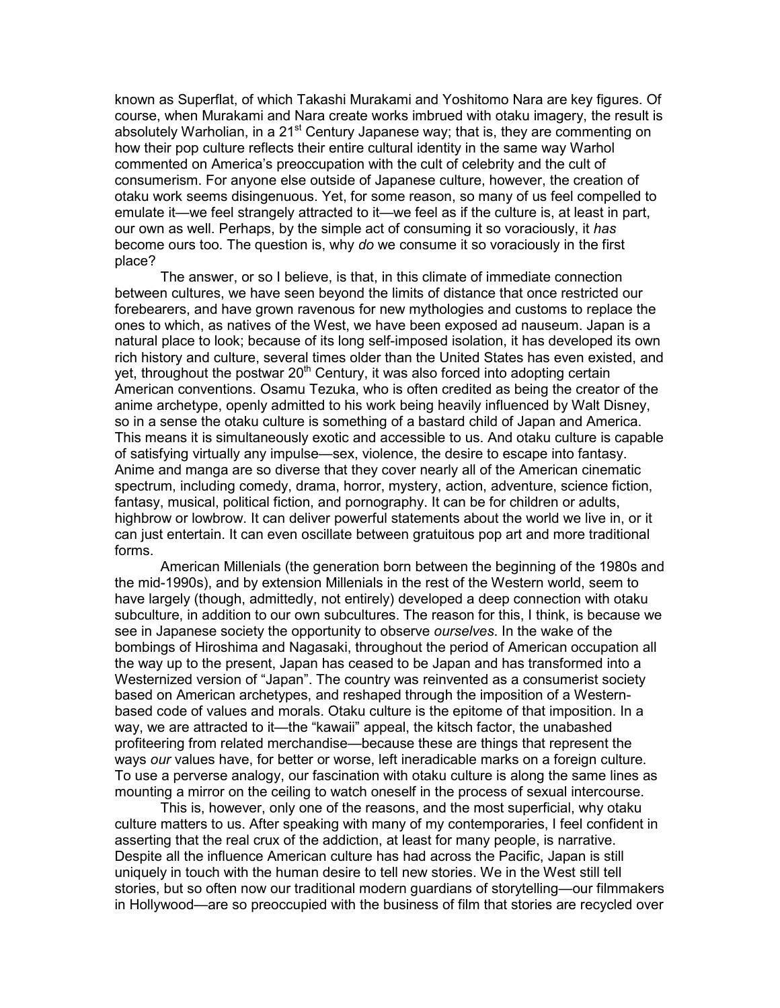known as Superflat, of which Takashi Murakami and Yoshitomo Nara are key figures. Of course, when Murakami and Nara create works imbrued with otaku imagery, the result is absolutely Warholian, in a 21<sup>st</sup> Century Japanese way; that is, they are commenting on how their pop culture reflects their entire cultural identity in the same way Warhol commented on America's preoccupation with the cult of celebrity and the cult of consumerism. For anyone else outside of Japanese culture, however, the creation of otaku work seems disingenuous. Yet, for some reason, so many of us feel compelled to emulate it—we feel strangely attracted to it—we feel as if the culture is, at least in part, our own as well. Perhaps, by the simple act of consuming it so voraciously, it *has* become ours too. The question is, why *do* we consume it so voraciously in the first place?

 The answer, or so I believe, is that, in this climate of immediate connection between cultures, we have seen beyond the limits of distance that once restricted our forebearers, and have grown ravenous for new mythologies and customs to replace the ones to which, as natives of the West, we have been exposed ad nauseum. Japan is a natural place to look; because of its long self-imposed isolation, it has developed its own rich history and culture, several times older than the United States has even existed, and yet, throughout the postwar  $20<sup>th</sup>$  Century, it was also forced into adopting certain American conventions. Osamu Tezuka, who is often credited as being the creator of the anime archetype, openly admitted to his work being heavily influenced by Walt Disney, so in a sense the otaku culture is something of a bastard child of Japan and America. This means it is simultaneously exotic and accessible to us. And otaku culture is capable of satisfying virtually any impulse—sex, violence, the desire to escape into fantasy. Anime and manga are so diverse that they cover nearly all of the American cinematic spectrum, including comedy, drama, horror, mystery, action, adventure, science fiction, fantasy, musical, political fiction, and pornography. It can be for children or adults, highbrow or lowbrow. It can deliver powerful statements about the world we live in, or it can just entertain. It can even oscillate between gratuitous pop art and more traditional forms.

 American Millenials (the generation born between the beginning of the 1980s and the mid-1990s), and by extension Millenials in the rest of the Western world, seem to have largely (though, admittedly, not entirely) developed a deep connection with otaku subculture, in addition to our own subcultures. The reason for this, I think, is because we see in Japanese society the opportunity to observe *ourselves*. In the wake of the bombings of Hiroshima and Nagasaki, throughout the period of American occupation all the way up to the present, Japan has ceased to be Japan and has transformed into a Westernized version of "Japan". The country was reinvented as a consumerist society based on American archetypes, and reshaped through the imposition of a Westernbased code of values and morals. Otaku culture is the epitome of that imposition. In a way, we are attracted to it—the "kawaii" appeal, the kitsch factor, the unabashed profiteering from related merchandise—because these are things that represent the ways *our* values have, for better or worse, left ineradicable marks on a foreign culture. To use a perverse analogy, our fascination with otaku culture is along the same lines as mounting a mirror on the ceiling to watch oneself in the process of sexual intercourse.

 This is, however, only one of the reasons, and the most superficial, why otaku culture matters to us. After speaking with many of my contemporaries, I feel confident in asserting that the real crux of the addiction, at least for many people, is narrative. Despite all the influence American culture has had across the Pacific, Japan is still uniquely in touch with the human desire to tell new stories. We in the West still tell stories, but so often now our traditional modern guardians of storytelling—our filmmakers in Hollywood—are so preoccupied with the business of film that stories are recycled over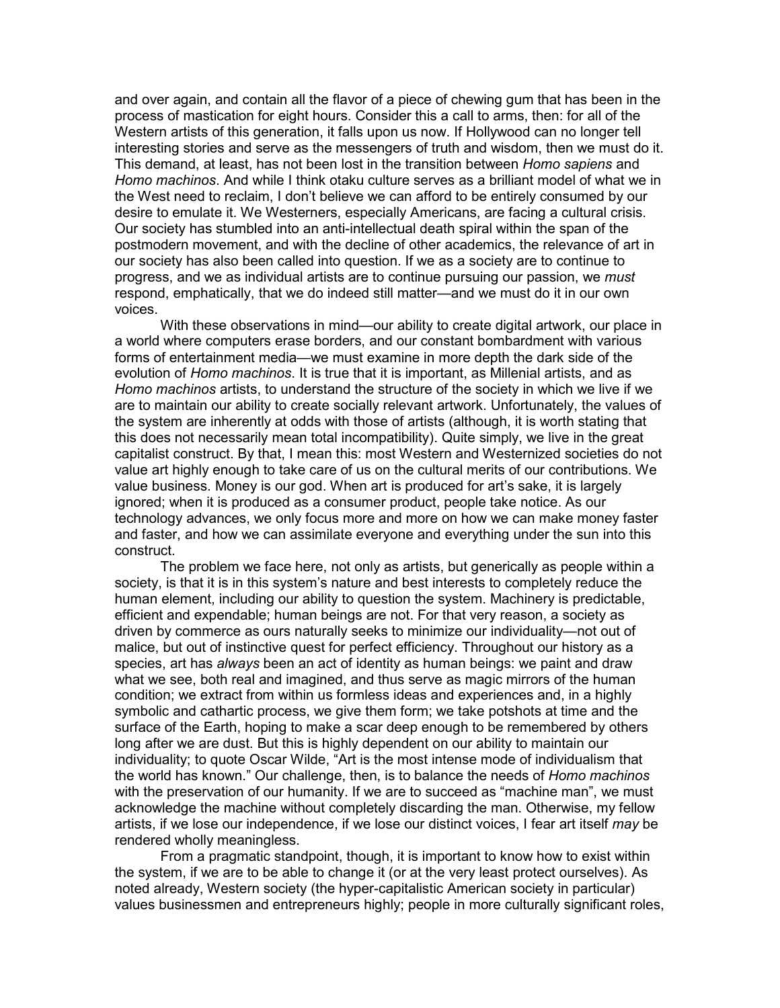and over again, and contain all the flavor of a piece of chewing gum that has been in the process of mastication for eight hours. Consider this a call to arms, then: for all of the Western artists of this generation, it falls upon us now. If Hollywood can no longer tell interesting stories and serve as the messengers of truth and wisdom, then we must do it. This demand, at least, has not been lost in the transition between *Homo sapiens* and *Homo machinos*. And while I think otaku culture serves as a brilliant model of what we in the West need to reclaim, I don't believe we can afford to be entirely consumed by our desire to emulate it. We Westerners, especially Americans, are facing a cultural crisis. Our society has stumbled into an anti-intellectual death spiral within the span of the postmodern movement, and with the decline of other academics, the relevance of art in our society has also been called into question. If we as a society are to continue to progress, and we as individual artists are to continue pursuing our passion, we *must* respond, emphatically, that we do indeed still matter—and we must do it in our own voices.

 With these observations in mind—our ability to create digital artwork, our place in a world where computers erase borders, and our constant bombardment with various forms of entertainment media—we must examine in more depth the dark side of the evolution of *Homo machinos*. It is true that it is important, as Millenial artists, and as *Homo machinos* artists, to understand the structure of the society in which we live if we are to maintain our ability to create socially relevant artwork. Unfortunately, the values of the system are inherently at odds with those of artists (although, it is worth stating that this does not necessarily mean total incompatibility). Quite simply, we live in the great capitalist construct. By that, I mean this: most Western and Westernized societies do not value art highly enough to take care of us on the cultural merits of our contributions. We value business. Money is our god. When art is produced for art's sake, it is largely ignored; when it is produced as a consumer product, people take notice. As our technology advances, we only focus more and more on how we can make money faster and faster, and how we can assimilate everyone and everything under the sun into this construct.

 The problem we face here, not only as artists, but generically as people within a society, is that it is in this system's nature and best interests to completely reduce the human element, including our ability to question the system. Machinery is predictable, efficient and expendable; human beings are not. For that very reason, a society as driven by commerce as ours naturally seeks to minimize our individuality—not out of malice, but out of instinctive quest for perfect efficiency. Throughout our history as a species, art has *always* been an act of identity as human beings: we paint and draw what we see, both real and imagined, and thus serve as magic mirrors of the human condition; we extract from within us formless ideas and experiences and, in a highly symbolic and cathartic process, we give them form; we take potshots at time and the surface of the Earth, hoping to make a scar deep enough to be remembered by others long after we are dust. But this is highly dependent on our ability to maintain our individuality; to quote Oscar Wilde, "Art is the most intense mode of individualism that the world has known." Our challenge, then, is to balance the needs of *Homo machinos* with the preservation of our humanity. If we are to succeed as "machine man", we must acknowledge the machine without completely discarding the man. Otherwise, my fellow artists, if we lose our independence, if we lose our distinct voices, I fear art itself *may* be rendered wholly meaningless.

 From a pragmatic standpoint, though, it is important to know how to exist within the system, if we are to be able to change it (or at the very least protect ourselves). As noted already, Western society (the hyper-capitalistic American society in particular) values businessmen and entrepreneurs highly; people in more culturally significant roles,